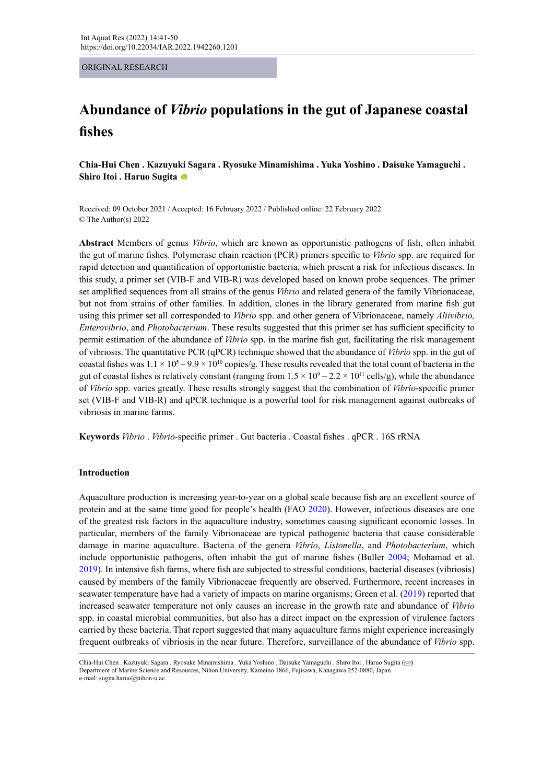ORIGINAL RESEARCH

# **Abundance of** *Vibrio* **populations in the gut of Japanese coastal fishes**

**Chia-Hui Chen . Kazuyuki Sagara . Ryosuke Minamishima . Yuka Yoshino . Daisuke Yamaguchi . Shiro Itoi . Haruo Sugita**

Received: 09 October 2021 / Accepted: 16 February 2022 / Published online: 22 February 2022 © The Author(s) 2022

**Abstract** Members of genus *Vibrio*, which are known as opportunistic pathogens of fish, often inhabit the gut of marine fishes. Polymerase chain reaction (PCR) primers specific to *Vibrio* spp. are required for rapid detection and quantification of opportunistic bacteria, which present a risk for infectious diseases. In this study, a primer set (VIB-F and VIB-R) was developed based on known probe sequences. The primer set amplified sequences from all strains of the genus *Vibrio* and related genera of the family Vibrionaceae, but not from strains of other families. In addition, clones in the library generated from marine fish gut using this primer set all corresponded to *Vibrio* spp. and other genera of Vibrionaceae, namely *Aliivibrio, Enterovibrio*, and *Photobacterium*. These results suggested that this primer set has sufficient specificity to permit estimation of the abundance of *Vibrio* spp. in the marine fish gut, facilitating the risk management of vibriosis. The quantitative PCR (qPCR) technique showed that the abundance of *Vibrio* spp. in the gut of coastal fishes was  $1.1 \times 10^5 - 9.9 \times 10^{10}$  copies/g. These results revealed that the total count of bacteria in the gut of coastal fishes is relatively constant (ranging from  $1.5 \times 10^9 - 2.2 \times 10^{11}$  cells/g), while the abundance of *Vibrio* spp. varies greatly. These results strongly suggest that the combination of *Vibrio*-specific primer set (VIB-F and VIB-R) and qPCR technique is a powerful tool for risk management against outbreaks of vibriosis in marine farms.

**Keywords** *Vibrio* . *Vibrio*-specific primer . Gut bacteria . Coastal fishes . qPCR . 16S rRNA

# **Introduction**

Aquaculture production is increasing year-to-year on a global scale because fish are an excellent source of protein and at the same time good for people's health (FAO 2020). However, infectious diseases are one of the greatest risk factors in the aquaculture industry, sometimes causing significant economic losses. In particular, members of the family Vibrionaceae are typical pathogenic bacteria that cause considerable damage in marine aquaculture. Bacteria of the genera *Vibrio*, *Listonella*, and *Photobacterium*, which include opportunistic pathogens, often inhabit the gut of marine fishes (Buller 2004; Mohamad et al. 2019). In intensive fish farms, where fish are subjected to stressful conditions, bacterial diseases (vibriosis) caused by members of the family Vibrionaceae frequently are observed. Furthermore, recent increases in seawater temperature have had a variety of impacts on marine organisms; Green et al. (2019) reported that increased seawater temperature not only causes an increase in the growth rate and abundance of *Vibrio* spp. in coastal microbial communities, but also has a direct impact on the expression of virulence factors carried by these bacteria. That report suggested that many aquaculture farms might experience increasingly frequent outbreaks of vibriosis in the near future. Therefore, surveillance of the abundance of *Vibrio* spp.

Chia-Hui Chen . Kazuyuki Sagara . Ryosuke Minamishima . Yuka Yoshino . Daisuke Yamaguchi . Shiro Itoi . Haruo Sugita [\(](mailto:sugita.haruo%40nihon-u.ac?subject=)~) Department of Marine Science and Resources, Nihon University, Kameino 1866, Fujisawa, Kanagawa 252-0880, Japan e-mail: sugita.haruo@nihon-u.ac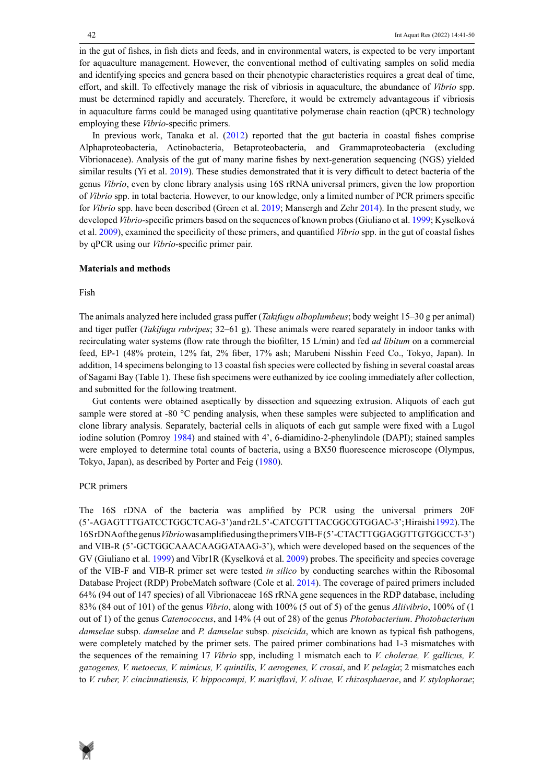in the gut of fishes, in fish diets and feeds, and in environmental waters, is expected to be very important for aquaculture management. However, the conventional method of cultivating samples on solid media and identifying species and genera based on their phenotypic characteristics requires a great deal of time, effort, and skill. To effectively manage the risk of vibriosis in aquaculture, the abundance of *Vibrio* spp. must be determined rapidly and accurately. Therefore, it would be extremely advantageous if vibriosis in aquaculture farms could be managed using quantitative polymerase chain reaction (qPCR) technology employing these *Vibrio*-specific primers.

In previous work, Tanaka et al. (2012) reported that the gut bacteria in coastal fishes comprise Alphaproteobacteria, Actinobacteria, Betaproteobacteria, and Grammaproteobacteria (excluding Vibrionaceae). Analysis of the gut of many marine fishes by next-generation sequencing (NGS) yielded similar results (Yi et al. 2019). These studies demonstrated that it is very difficult to detect bacteria of the genus *Vibrio*, even by clone library analysis using 16S rRNA universal primers, given the low proportion of *Vibrio* spp. in total bacteria. However, to our knowledge, only a limited number of PCR primers specific for *Vibrio* spp. have been described (Green et al. 2019; Mansergh and Zehr 2014). In the present study, we developed *Vibrio*-specific primers based on the sequences of known probes (Giuliano et al. 1999; Kyselková et al. 2009), examined the specificity of these primers, and quantified *Vibrio* spp. in the gut of coastal fishes by qPCR using our *Vibrio*-specific primer pair.

#### **Materials and methods**

#### Fish

The animals analyzed here included grass puffer (*Takifugu alboplumbeus*; body weight 15–30 g per animal) and tiger puffer (*Takifugu rubripes*; 32–61 g). These animals were reared separately in indoor tanks with recirculating water systems (flow rate through the biofilter, 15 L/min) and fed *ad libitum* on a commercial feed, EP-1 (48% protein, 12% fat, 2% fiber, 17% ash; Marubeni Nisshin Feed Co., Tokyo, Japan). In addition, 14 specimens belonging to 13 coastal fish species were collected by fishing in several coastal areas of Sagami Bay (Table 1). These fish specimens were euthanized by ice cooling immediately after collection, and submitted for the following treatment.

Gut contents were obtained aseptically by dissection and squeezing extrusion. Aliquots of each gut sample were stored at -80 °C pending analysis, when these samples were subjected to amplification and clone library analysis. Separately, bacterial cells in aliquots of each gut sample were fixed with a Lugol iodine solution (Pomroy 1984) and stained with 4', 6-diamidino-2-phenylindole (DAPI); stained samples were employed to determine total counts of bacteria, using a BX50 fluorescence microscope (Olympus, Tokyo, Japan), as described by Porter and Feig (1980).

## PCR primers

The 16S rDNA of the bacteria was amplified by PCR using the universal primers 20F (5'-AGAGTTTGATCCTGGCTCAG-3') and r2L 5'-CATCGTTTACGGCGTGGAC-3'; Hiraishi 1992). The 16S rDNA of the genus *Vibrio* was amplified using the primers VIB-F (5'-CTACTTGGAGGTTGTGGCCT-3') and VIB-R (5'-GCTGGCAAACAAGGATAAG-3'), which were developed based on the sequences of the GV (Giuliano et al. 1999) and Vibr1R (Kyselková et al. 2009) probes. The specificity and species coverage of the VIB-F and VIB-R primer set were tested *in silico* by conducting searches within the Ribosomal Database Project (RDP) ProbeMatch software (Cole et al. 2014). The coverage of paired primers included 64% (94 out of 147 species) of all Vibrionaceae 16S rRNA gene sequences in the RDP database, including 83% (84 out of 101) of the genus *Vibrio*, along with 100% (5 out of 5) of the genus *Aliivibrio*, 100% of (1 out of 1) of the genus *Catenococcus*, and 14% (4 out of 28) of the genus *Photobacterium*. *Photobacterium damselae* subsp. *damselae* and *P. damselae* subsp. *piscicida*, which are known as typical fish pathogens, were completely matched by the primer sets. The paired primer combinations had 1-3 mismatches with the sequences of the remaining 17 *Vibrio* spp, including 1 mismatch each to *V. cholerae, V. gallicus, V. gazogenes, V. metoecus, V. mimicus, V. quintilis, V. aerogenes, V. crosai*, and *V. pelagia*; 2 mismatches each to *V. ruber, V. cincinnatiensis, V. hippocampi, V. marisflavi, V. olivae, V. rhizosphaerae*, and *V. stylophorae*;

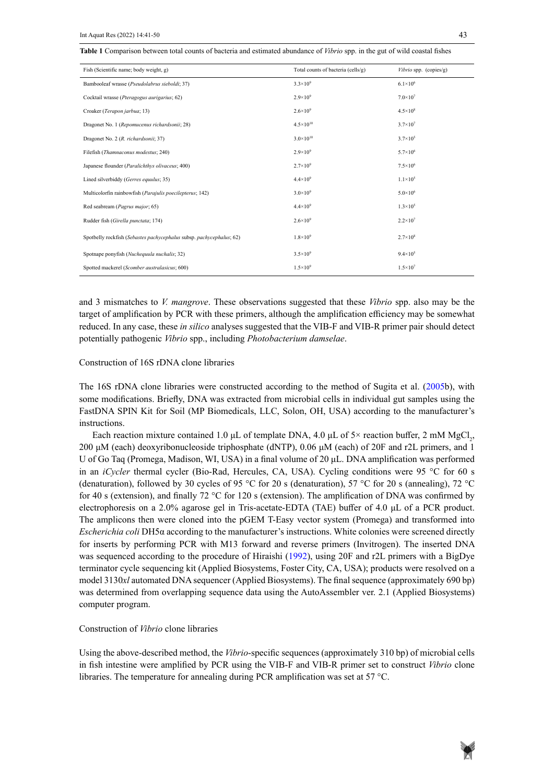| Fish (Scientific name; body weight, g)                               | Total counts of bacteria (cells/g) | <i>Vibrio</i> spp. (copies/g) |
|----------------------------------------------------------------------|------------------------------------|-------------------------------|
| Bambooleaf wrasse (Pseudolabrus sieboldi; 37)                        | $3.3 \times 10^{9}$                | $6.1 \times 10^{6}$           |
| Cocktail wrasse (Pteragogus aurigarius; 62)                          | $2.9\times10^{9}$                  | $7.0 \times 10^{7}$           |
| Croaker (Terapon jarbua; 13)                                         | $2.6 \times 10^{9}$                | $4.5 \times 10^8$             |
| Dragonet No. 1 (Repomucenus richardsonii; 28)                        | $4.5 \times 10^{10}$               | $3.7 \times 10^{7}$           |
| Dragonet No. 2 (R. richardsonii; 37)                                 | $3.0\times10^{10}$                 | $3.7 \times 10^{5}$           |
| Filefish (Thamnaconus modestus; 240)                                 | $2.9\times10^{9}$                  | $5.7 \times 10^6$             |
| Japanese flounder (Paralichthys olivaceus; 400)                      | $2.7\times10^{9}$                  | $7.5 \times 10^6$             |
| Lined silverbiddy (Gerres equalus; 35)                               | $4.4 \times 10^{9}$                | $1.1 \times 10^5$             |
| Multicolorfin rainbowfish (Parajulis poecilepterus; 142)             | $3.0\times10^{9}$                  | $5.0 \times 10^6$             |
| Red seabream (Pagrus major; 65)                                      | $4.4 \times 10^{9}$                | $1.3 \times 10^{5}$           |
| Rudder fish (Girella punctata; 174)                                  | $2.6 \times 10^{9}$                | $2.2 \times 10^{7}$           |
| Spotbelly rockfish (Sebastes pachycephalus subsp. pachycephalus; 62) | $1.8 \times 10^{9}$                | $2.7 \times 10^8$             |
| Spotnape ponyfish (Nuchequala nuchalis; 32)                          | $3.5 \times 10^{9}$                | $9.4 \times 10^5$             |
| Spotted mackerel (Scomber australasicus; 600)                        | $1.5 \times 10^{9}$                | $1.5 \times 10^{7}$           |

and 3 mismatches to *V. mangrove*. These observations suggested that these *Vibrio* spp. also may be the target of amplification by PCR with these primers, although the amplification efficiency may be somewhat reduced. In any case, these *in silico* analyses suggested that the VIB-F and VIB-R primer pair should detect potentially pathogenic *Vibrio* spp., including *Photobacterium damselae*.

#### Construction of 16S rDNA clone libraries

The 16S rDNA clone libraries were constructed according to the method of Sugita et al. (2005b), with some modifications. Briefly, DNA was extracted from microbial cells in individual gut samples using the FastDNA SPIN Kit for Soil (MP Biomedicals, LLC, Solon, OH, USA) according to the manufacturer's instructions.

Each reaction mixture contained 1.0 µL of template DNA, 4.0 µL of 5× reaction buffer, 2 mM MgCl<sub>2</sub>, 200 μM (each) deoxyribonucleoside triphosphate (dNTP), 0.06 μM (each) of 20F and r2L primers, and 1 U of Go Taq (Promega, Madison, WI, USA) in a final volume of 20 μL. DNA amplification was performed in an *iCycler* thermal cycler (Bio-Rad, Hercules, CA, USA). Cycling conditions were 95 °C for 60 s (denaturation), followed by 30 cycles of 95 °C for 20 s (denaturation), 57 °C for 20 s (annealing), 72 °C for 40 s (extension), and finally 72 °C for 120 s (extension). The amplification of DNA was confirmed by electrophoresis on a 2.0% agarose gel in Tris-acetate-EDTA (TAE) buffer of 4.0 μL of a PCR product. The amplicons then were cloned into the pGEM T-Easy vector system (Promega) and transformed into *Escherichia coli* DH5α according to the manufacturer's instructions. White colonies were screened directly for inserts by performing PCR with M13 forward and reverse primers (Invitrogen). The inserted DNA was sequenced according to the procedure of Hiraishi (1992), using 20F and r2L primers with a BigDye terminator cycle sequencing kit (Applied Biosystems, Foster City, CA, USA); products were resolved on a model 3130*xl* automated DNA sequencer (Applied Biosystems). The final sequence (approximately 690 bp) was determined from overlapping sequence data using the AutoAssembler ver. 2.1 (Applied Biosystems) computer program.

## Construction of *Vibrio* clone libraries

Using the above-described method, the *Vibrio*-specific sequences (approximately 310 bp) of microbial cells in fish intestine were amplified by PCR using the VIB-F and VIB-R primer set to construct *Vibrio* clone libraries. The temperature for annealing during PCR amplification was set at 57 °C.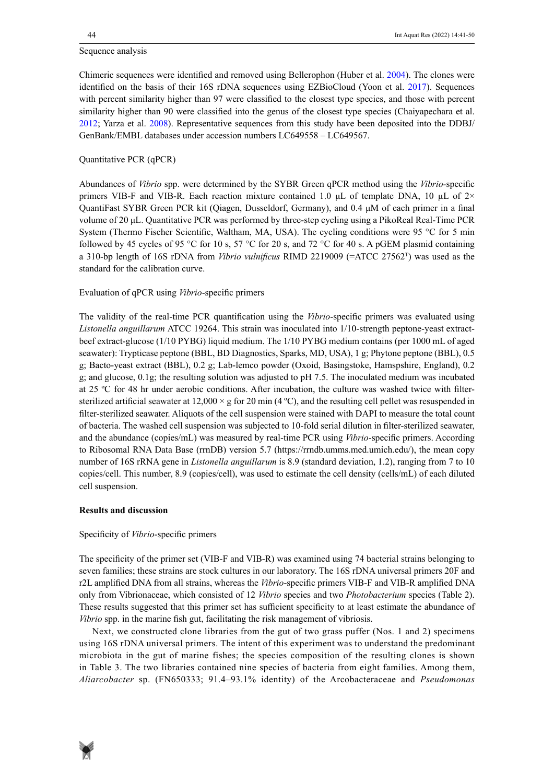#### Sequence analysis

Chimeric sequences were identified and removed using Bellerophon (Huber et al. 2004). The clones were identified on the basis of their 16S rDNA sequences using EZBioCloud (Yoon et al. 2017). Sequences with percent similarity higher than 97 were classified to the closest type species, and those with percent similarity higher than 90 were classified into the genus of the closest type species (Chaiyapechara et al. 2012; Yarza et al. 2008). Representative sequences from this study have been deposited into the DDBJ/ GenBank/EMBL databases under accession numbers LC649558 – LC649567.

# Quantitative PCR (qPCR)

Abundances of *Vibrio* spp. were determined by the SYBR Green qPCR method using the *Vibrio-*specific primers VIB-F and VIB-R. Each reaction mixture contained 1.0 μL of template DNA, 10 µL of 2× QuantiFast SYBR Green PCR kit (Qiagen, Dusseldorf, Germany), and 0.4 μM of each primer in a final volume of 20 μL. Quantitative PCR was performed by three-step cycling using a PikoReal Real-Time PCR System (Thermo Fischer Scientific, Waltham, MA, USA). The cycling conditions were 95 °C for 5 min followed by 45 cycles of 95 °C for 10 s, 57 °C for 20 s, and 72 °C for 40 s. A pGEM plasmid containing a 310-bp length of 16S rDNA from *Vibrio vulnificus* RIMD 2219009 (=ATCC 27562T) was used as the standard for the calibration curve.

# Evaluation of qPCR using *Vibrio*-specific primers

The validity of the real-time PCR quantification using the *Vibrio*-specific primers was evaluated using *Listonella anguillarum* ATCC 19264. This strain was inoculated into 1/10-strength peptone-yeast extractbeef extract-glucose (1/10 PYBG) liquid medium. The 1/10 PYBG medium contains (per 1000 mL of aged seawater): Trypticase peptone (BBL, BD Diagnostics, Sparks, MD, USA), 1 g; Phytone peptone (BBL), 0.5 g; Bacto-yeast extract (BBL), 0.2 g; Lab-lemco powder (Oxoid, Basingstoke, Hamspshire, England), 0.2 g; and glucose, 0.1g; the resulting solution was adjusted to pH 7.5. The inoculated medium was incubated at 25 ºC for 48 hr under aerobic conditions. After incubation, the culture was washed twice with filtersterilized artificial seawater at  $12,000 \times g$  for 20 min (4 °C), and the resulting cell pellet was resuspended in filter-sterilized seawater. Aliquots of the cell suspension were stained with DAPI to measure the total count of bacteria. The washed cell suspension was subjected to 10-fold serial dilution in filter-sterilized seawater, and the abundance (copies/mL) was measured by real-time PCR using *Vibrio*-specific primers. According to Ribosomal RNA Data Base (rrnDB) version 5.7 (https://rrndb.umms.med.umich.edu/), the mean copy number of 16S rRNA gene in *Listonella anguillarum* is 8.9 (standard deviation, 1.2), ranging from 7 to 10 copies/cell. This number, 8.9 (copies/cell), was used to estimate the cell density (cells/mL) of each diluted cell suspension.

## **Results and discussion**

## Specificity of *Vibrio*-specific primers

The specificity of the primer set (VIB-F and VIB-R) was examined using 74 bacterial strains belonging to seven families; these strains are stock cultures in our laboratory. The 16S rDNA universal primers 20F and r2L amplified DNA from all strains, whereas the *Vibrio*-specific primers VIB-F and VIB-R amplified DNA only from Vibrionaceae, which consisted of 12 *Vibrio* species and two *Photobacterium* species (Table 2). These results suggested that this primer set has sufficient specificity to at least estimate the abundance of *Vibrio* spp. in the marine fish gut, facilitating the risk management of vibriosis.

Next, we constructed clone libraries from the gut of two grass puffer (Nos. 1 and 2) specimens using 16S rDNA universal primers. The intent of this experiment was to understand the predominant microbiota in the gut of marine fishes; the species composition of the resulting clones is shown in Table 3. The two libraries contained nine species of bacteria from eight families. Among them, *Aliarcobacter* sp. (FN650333; 91.4–93.1% identity) of the Arcobacteraceae and *Pseudomonas* 

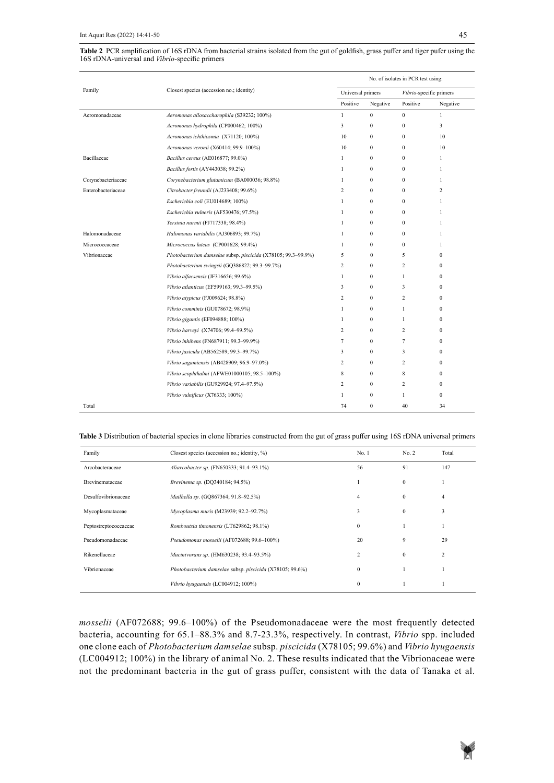| Table 2 PCR amplification of 16S rDNA from bacterial strains isolated from the gut of goldfish, grass puffer and tiger pufer using the |  |
|----------------------------------------------------------------------------------------------------------------------------------------|--|
| 16S rDNA-universal and <i>Vibrio</i> -specific primers                                                                                 |  |

|                    |                                                               | No. of isolates in PCR test using: |                   |              |                         |  |
|--------------------|---------------------------------------------------------------|------------------------------------|-------------------|--------------|-------------------------|--|
| Family             | Closest species (accession no.; identity)                     |                                    | Universal primers |              | Vibrio-specific primers |  |
|                    |                                                               | Positive                           | Negative          | Positive     | Negative                |  |
| Aeromonadaceae     | Aeromonas allosaccharophila (S39232; 100%)                    | $\mathbf{1}$                       | $\mathbf{0}$      | $\mathbf{0}$ | $\mathbf{1}$            |  |
|                    | Aeromonas hydrophila (CP000462; 100%)                         | 3                                  | $\mathbf{0}$      | $\mathbf{0}$ | 3                       |  |
|                    | Aeromonas ichthiosmia (X71120; 100%)                          | 10                                 | $\mathbf{0}$      | $\mathbf{0}$ | 10                      |  |
|                    | Aeromonas veronii (X60414; 99.9-100%)                         | 10                                 | $\mathbf{0}$      | $\mathbf{0}$ | 10                      |  |
| Bacillaceae        | Bacillus cereus (AE016877; 99.0%)                             | $\mathbf{1}$                       | $\mathbf{0}$      | $\mathbf{0}$ | 1                       |  |
|                    | Bacillus fortis (AY443038; 99.2%)                             | 1                                  | $\mathbf{0}$      | $\mathbf{0}$ | 1                       |  |
| Corynebacteriaceae | Corynebacterium glutamicum (BA000036; 98.8%)                  | 1                                  | $\mathbf{0}$      | $\mathbf{0}$ | 1                       |  |
| Enterobacteriaceae | Citrobacter freundii (AJ233408; 99.6%)                        | $\overline{c}$                     | $\theta$          | $\theta$     | 2                       |  |
|                    | Escherichia coli (EU014689; 100%)                             | $\mathbf{1}$                       | $\mathbf{0}$      | $\mathbf{0}$ | $\mathbf{1}$            |  |
|                    | Escherichia vulneris (AF530476; 97.5%)                        | $\mathbf{1}$                       | $\mathbf{0}$      | $\mathbf{0}$ | $\mathbf{1}$            |  |
|                    | Yersinia nurmii (FJ717338; 98.4%)                             | 1                                  | $\mathbf{0}$      | $\Omega$     | 1                       |  |
| Halomonadaceae     | Halomonas variabilis (AJ306893; 99.7%)                        | $\mathbf{1}$                       | $\mathbf{0}$      | $\Omega$     | $\mathbf{1}$            |  |
| Micrococcaceae     | Micrococcus luteus (CP001628; 99.4%)                          | $\mathbf{1}$                       | $\mathbf{0}$      | $\mathbf{0}$ | 1                       |  |
| Vibrionaceae       | Photobacterium damselae subsp. piscicida (X78105; 99.3-99.9%) | 5                                  | $\mathbf{0}$      | 5            | $\Omega$                |  |
|                    | Photobacterium swingsii (GQ386822; 99.3-99.7%)                | 2                                  | $\mathbf{0}$      | 2            | $\mathbf{0}$            |  |
|                    | Vibrio alfacsensis (JF316656; 99.6%)                          | $\mathbf{1}$                       | $\mathbf{0}$      | $\mathbf{1}$ | $\mathbf{0}$            |  |
|                    | Vibrio atlanticus (EF599163; 99.3-99.5%)                      | 3                                  | $\mathbf{0}$      | 3            | $\Omega$                |  |
|                    | Vibrio atypicus (FJ009624; 98.8%)                             | 2                                  | $\mathbf{0}$      | 2            | $\Omega$                |  |
|                    | Vibrio comminis (GU078672; 98.9%)                             | $\mathbf{1}$                       | $\mathbf{0}$      | 1            | $\Omega$                |  |
|                    | Vibrio gigantis (EF094888; 100%)                              | $\mathbf{1}$                       | $\mathbf{0}$      | $\mathbf{1}$ | $\mathbf{0}$            |  |
|                    | Vibrio harveyi (X74706; 99.4-99.5%)                           | 2                                  | $\mathbf{0}$      | 2            | $\Omega$                |  |
|                    | Vibrio inhibens (FN687911; 99.3-99.9%)                        | 7                                  | $\mathbf{0}$      | 7            | $\mathbf{0}$            |  |
|                    | Vibrio jasicida (AB562589; 99.3-99.7%)                        | 3                                  | $\mathbf{0}$      | 3            | $\Omega$                |  |
|                    | Vibrio sagamiensis (AB428909; 96.9-97.0%)                     | 2                                  | $\mathbf{0}$      | 2            | $\mathbf{0}$            |  |
|                    | Vibrio scophthalmi (AFWE01000105; 98.5-100%)                  | 8                                  | $\mathbf{0}$      | 8            | $\mathbf{0}$            |  |
|                    | Vibrio variabilis (GU929924; 97.4-97.5%)                      | 2                                  | $\mathbf{0}$      | 2            | $\Omega$                |  |
|                    | Vibrio vulnificus (X76333; 100%)                              | 1                                  | $\mathbf{0}$      | $\mathbf{1}$ | $\mathbf{0}$            |  |
| Total              |                                                               | 74                                 | $\mathbf{0}$      | 40           | 34                      |  |

#### Table 3 Distribution of bacterial species in clone libraries constructed from the gut of grass puffer using 16S rDNA universal primers

| Family                | Closest species (accession no.; identity, %)             | No.1           | No. 2        | Total          |
|-----------------------|----------------------------------------------------------|----------------|--------------|----------------|
| Arcobacteraceae       | Aliarcobacter sp. (FN650333; 91.4–93.1%)                 | 56             | 91           | 147            |
| Brevinemataceae       | Brevinema sp. (DQ340184; 94.5%)                          |                | $\mathbf{0}$ |                |
| Desulfovibrionaceae   | Mailhella sp. (GQ867364; 91.8-92.5%)                     | 4              | $\Omega$     | 4              |
| Mycoplasmataceae      | Mycoplasma muris (M23939; 92.2-92.7%)                    | 3              | $\theta$     | 3              |
| Peptostreptococcaceae | Romboutsia timonensis (LT629862; 98.1%)                  | $\mathbf{0}$   |              |                |
| Pseudomonadaceae      | Pseudomonas mosselii (AF072688; 99.6-100%)               | 20             | 9            | 29             |
| Rikenellaceae         | Mucinivorans sp. (HM630238; 93.4-93.5%)                  | $\overline{2}$ | $\Omega$     | $\overline{2}$ |
| Vibrionaceae          | Photobacterium damselae subsp. piscicida (X78105; 99.6%) | $\mathbf{0}$   |              |                |
|                       | Vibrio hyugaensis (LC004912; 100%)                       | $\mathbf{0}$   |              |                |

*mosselii* (AF072688; 99.6–100%) of the Pseudomonadaceae were the most frequently detected bacteria, accounting for 65.1–88.3% and 8.7-23.3%, respectively. In contrast, *Vibrio* spp. included one clone each of *Photobacterium damselae* subsp. *piscicida* (X78105; 99.6%) and *Vibrio hyugaensis* (LC004912; 100%) in the library of animal No. 2. These results indicated that the Vibrionaceae were not the predominant bacteria in the gut of grass puffer, consistent with the data of Tanaka et al.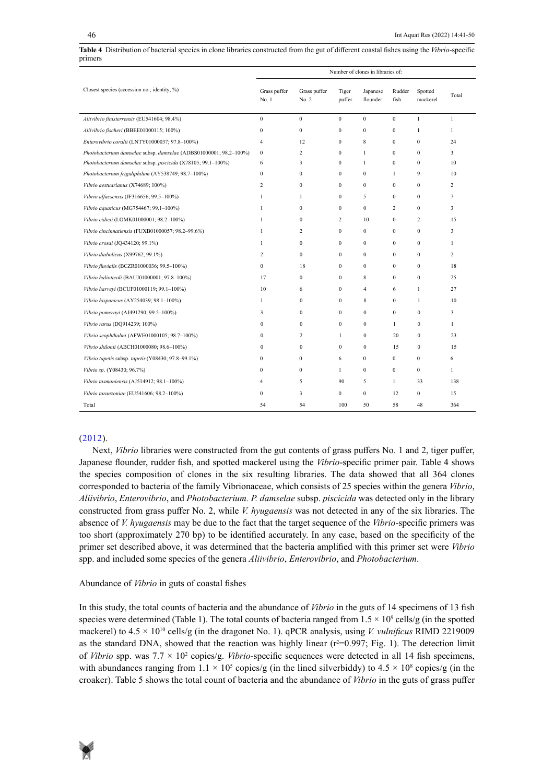|                                                                   |                       |                       |                 | Number of clones in libraries of: |                  |                     |              |
|-------------------------------------------------------------------|-----------------------|-----------------------|-----------------|-----------------------------------|------------------|---------------------|--------------|
| Closest species (accession no.; identity, %)                      | Grass puffer<br>No. 1 | Grass puffer<br>No. 2 | Tiger<br>puffer | Japanese<br>flounder              | Rudder<br>fish   | Spotted<br>mackerel | Total        |
| Aliivibrio finisterrensis (EU541604; 98.4%)                       | $\mathbf{0}$          | $\mathbf{0}$          | $\mathbf{0}$    | $\mathbf{0}$                      | $\mathbf{0}$     | $\mathbf{1}$        | $\mathbf{1}$ |
| Aliivibrio fischeri (BBEE01000115; 100%)                          | $\mathbf{0}$          | $\mathbf{0}$          | $\mathbf{0}$    | $\mathbf{0}$                      | $\mathbf{0}$     | $\mathbf{1}$        | $\mathbf{1}$ |
| Enterovibrio coralii (LNTY01000037; 97.8-100%)                    | $\overline{4}$        | 12                    | $\mathbf{0}$    | 8                                 | $\mathbf{0}$     | $\mathbf{0}$        | 24           |
| Photobacterium damselae subsp. damselae (ADBS01000001; 98.2-100%) | $\bf{0}$              | $\overline{c}$        | $\mathbf{0}$    | $\mathbf{1}$                      | $\mathbf{0}$     | $\mathbf{0}$        | 3            |
| Photobacterium damselae subsp. piscicida (X78105; 99.1-100%)      | 6                     | 3                     | $\mathbf{0}$    | $\mathbf{1}$                      | $\mathbf{0}$     | $\mathbf{0}$        | 10           |
| Photobacterium frigidiphilum (AY538749; 98.7-100%)                | $\mathbf{0}$          | $\mathbf{0}$          | $\mathbf{0}$    | $\mathbf{0}$                      | 1                | 9                   | 10           |
| Vibrio aestuarianus (X74689; 100%)                                | $\overline{c}$        | $\mathbf{0}$          | $\mathbf{0}$    | $\mathbf{0}$                      | $\mathbf{0}$     | $\mathbf{0}$        | 2            |
| Vibrio alfacsensis (JF316656; 99.5-100%)                          | $\mathbf{1}$          | 1                     | $\mathbf{0}$    | 5                                 | $\mathbf{0}$     | $\mathbf{0}$        | 7            |
| Vibrio aquaticus (MG754467; 99.1-100%)                            | 1                     | $\Omega$              | $\mathbf{0}$    | $\mathbf{0}$                      | 2                | $\mathbf{0}$        | 3            |
| Vibrio cidicii (LOMK01000001; 98.2-100%)                          | $\mathbf{1}$          | $\Omega$              | $\overline{c}$  | 10                                | $\mathbf{0}$     | 2                   | 15           |
| Vibrio cincinnatiensis (FUXB01000057; 98.2-99.6%)                 | 1                     | 2                     | $\mathbf{0}$    | $\mathbf{0}$                      | $\mathbf{0}$     | $\mathbf{0}$        | 3            |
| Vibrio crosai (JQ434120; 99.1%)                                   | $\mathbf{1}$          | $\mathbf{0}$          | $\mathbf{0}$    | $\mathbf{0}$                      | $\mathbf{0}$     | $\mathbf{0}$        | 1            |
| Vibrio diabolicus (X99762; 99.1%)                                 | 2                     | $\mathbf{0}$          | $\mathbf{0}$    | $\mathbf{0}$                      | $\mathbf{0}$     | $\mathbf{0}$        | 2            |
| Vibrio fluvialis (BCZR01000036; 99.5-100%)                        | $\boldsymbol{0}$      | 18                    | $\mathbf{0}$    | $\boldsymbol{0}$                  | $\mathbf{0}$     | $\boldsymbol{0}$    | 18           |
| Vibrio halioticoli (BAUJ01000001; 97.8-100%)                      | 17                    | $\mathbf{0}$          | $\mathbf{0}$    | 8                                 | $\mathbf{0}$     | $\bf{0}$            | 25           |
| Vibrio harveyi (BCUF01000119; 99.1-100%)                          | 10                    | 6                     | $\mathbf{0}$    | $\overline{4}$                    | 6                | $\mathbf{1}$        | 27           |
| Vibrio hispanicus (AY254039; 98.1-100%)                           | 1                     | $\mathbf{0}$          | $\mathbf{0}$    | 8                                 | $\mathbf{0}$     | $\mathbf{1}$        | 10           |
| Vibrio pomerovi (AJ491290; 99.5-100%)                             | 3                     | $\Omega$              | $\theta$        | $\mathbf{0}$                      | $\mathbf{0}$     | $\mathbf{0}$        | 3            |
| Vibrio rarus (DQ914239; 100%)                                     | $\Omega$              | $\mathbf{0}$          | $\mathbf{0}$    | $\mathbf{0}$                      | $\mathbf{1}$     | $\mathbf{0}$        | 1            |
| Vibrio scophthalmi (AFWE01000105; 98.7-100%)                      | $\mathbf{0}$          | 2                     | $\mathbf{1}$    | $\mathbf{0}$                      | 20               | $\mathbf{0}$        | 23           |
| Vibrio shilonii (ABCH01000080; 98.6-100%)                         | $\mathbf{0}$          | $\mathbf{0}$          | $\mathbf{0}$    | $\boldsymbol{0}$                  | 15               | $\bf{0}$            | 15           |
| Vibrio tapetis subsp. tapetis (Y08430; 97.8-99.1%)                | $\mathbf{0}$          | $\mathbf{0}$          | 6               | $\overline{0}$                    | $\boldsymbol{0}$ | $\bf{0}$            | 6            |
| Vibrio sp. (Y08430; 96.7%)                                        | $\mathbf{0}$          | $\mathbf{0}$          | $\mathbf{1}$    | $\overline{0}$                    | $\boldsymbol{0}$ | $\bf{0}$            | $\mathbf{1}$ |
| Vibrio tasmaniensis (AJ514912; 98.1-100%)                         | 4                     | 5                     | 90              | 5                                 | $\mathbf{1}$     | 33                  | 138          |
| Vibrio toranzoniae (EU541606; 98.2-100%)                          | $\theta$              | 3                     | $\mathbf{0}$    | $\overline{0}$                    | 12               | $\mathbf{0}$        | 15           |
| Total                                                             | 54                    | 54                    | 100             | 50                                | 58               | 48                  | 364          |

# Table 4 Distribution of bacterial species in clone libraries constructed from the gut of different coastal fishes using the Vibrio-specific primers primers

# (2012).

Next, *Vibrio* libraries were constructed from the gut contents of grass puffers No. 1 and 2, tiger puffer, Japanese flounder, rudder fish, and spotted mackerel using the *Vibrio*-specific primer pair. Table 4 shows the species composition of clones in the six resulting libraries. The data showed that all 364 clones corresponded to bacteria of the family Vibrionaceae, which consists of 25 species within the genera *Vibrio*, *Aliivibrio*, *Enterovibrio*, and *Photobacterium. P. damselae* subsp. *piscicida* was detected only in the library constructed from grass puffer No. 2, while *V. hyugaensis* was not detected in any of the six libraries. The absence of *V. hyugaensis* may be due to the fact that the target sequence of the *Vibrio*-specific primers was too short (approximately 270 bp) to be identified accurately. In any case, based on the specificity of the primer set described above, it was determined that the bacteria amplified with this primer set were *Vibrio* spp. and included some species of the genera *Aliivibrio*, *Enterovibrio*, and *Photobacterium*.

## Abundance of *Vibrio* in guts of coastal fishes

In this study, the total counts of bacteria and the abundance of *Vibrio* in the guts of 14 specimens of 13 fish species were determined (Table 1). The total counts of bacteria ranged from  $1.5 \times 10^9$  cells/g (in the spotted mackerel) to 4.5 × 1010 cells/g (in the dragonet No. 1). qPCR analysis, using *V. vulnificus* RIMD 2219009 as the standard DNA, showed that the reaction was highly linear  $(r^2=0.997;$  Fig. 1). The detection limit of *Vibrio* spp. was 7.7 × 10<sup>2</sup> copies/g. *Vibrio*-specific sequences were detected in all 14 fish specimens, with abundances ranging from  $1.1 \times 10^5$  copies/g (in the lined silverbiddy) to  $4.5 \times 10^8$  copies/g (in the croaker). Table 5 shows the total count of bacteria and the abundance of *Vibrio* in the guts of grass puffer

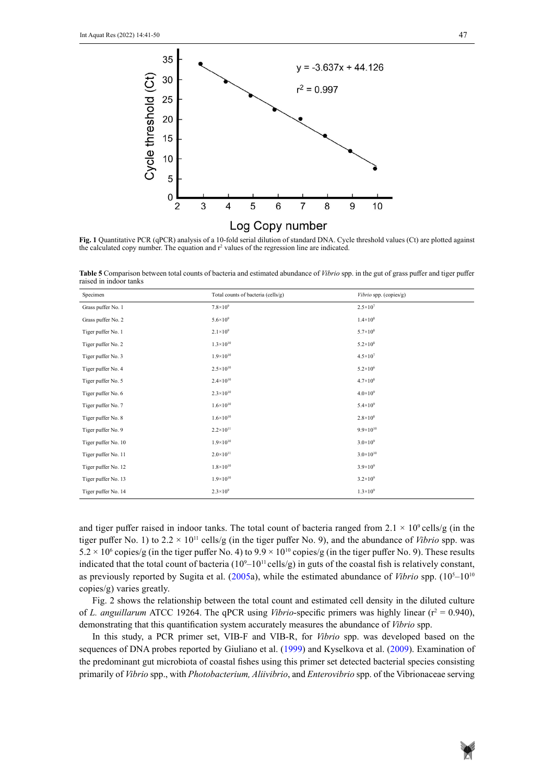

Fig. 1 Quantitative PCR (qPCR) analysis of a 10-fold serial dilution of standard DNA. Cycle threshold values (Ct) are plotted against the calculated copy number. The equation and  $r^2$  values of the regression line are indicated.

Table 5 Comparison between total counts of bacteria and estimated abundance of Vibrio spp. in the gut of grass puffer and tiger puffer raised in indoor tanks

| Specimen            | Total counts of bacteria (cells/g) | Vibrio spp. (copies/g) |
|---------------------|------------------------------------|------------------------|
| Grass puffer No. 1  | $7.8 \times 10^{9}$                | $2.5 \times 10^{7}$    |
| Grass puffer No. 2  | $5.6 \times 10^{9}$                | $1.4 \times 10^8$      |
| Tiger puffer No. 1  | $2.1 \times 10^{9}$                | $5.7 \times 10^8$      |
| Tiger puffer No. 2  | $1.3 \times 10^{10}$               | $5.2 \times 10^8$      |
| Tiger puffer No. 3  | $1.9\times10^{10}$                 | $4.5 \times 10^{7}$    |
| Tiger puffer No. 4  | $2.5 \times 10^{10}$               | $5.2 \times 10^6$      |
| Tiger puffer No. 5  | $2.4 \times 10^{10}$               | $4.7 \times 10^8$      |
| Tiger puffer No. 6  | $2.3 \times 10^{10}$               | $4.0\times10^{9}$      |
| Tiger puffer No. 7  | $1.6 \times 10^{10}$               | $5.4 \times 10^{9}$    |
| Tiger puffer No. 8  | $1.6 \times 10^{10}$               | $2.8 \times 10^8$      |
| Tiger puffer No. 9  | $2.2 \times 10^{11}$               | $9.9 \times 10^{10}$   |
| Tiger puffer No. 10 | $1.9\times10^{10}$                 | $3.0\times10^{9}$      |
| Tiger puffer No. 11 | $2.0\times10^{11}$                 | $3.0\times10^{10}$     |
| Tiger puffer No. 12 | $1.8 \times 10^{10}$               | $3.9\times10^{9}$      |
| Tiger puffer No. 13 | $1.9\times10^{10}$                 | $3.2 \times 10^{9}$    |
| Tiger puffer No. 14 | $2.3 \times 10^{9}$                | $1.3 \times 10^{9}$    |

and tiger puffer raised in indoor tanks. The total count of bacteria ranged from  $2.1 \times 10^9$  cells/g (in the tiger puffer No. 1) to  $2.2 \times 10^{11}$  cells/g (in the tiger puffer No. 9), and the abundance of *Vibrio* spp. was  $5.2 \times 10^6$  copies/g (in the tiger puffer No. 4) to  $9.9 \times 10^{10}$  copies/g (in the tiger puffer No. 9). These results indicated that the total count of bacteria  $(10<sup>9</sup>-10<sup>11</sup>$  cells/g) in guts of the coastal fish is relatively constant, as previously reported by Sugita et al. (2005a), while the estimated abundance of *Vibrio* spp. (10<sup>5</sup>–10<sup>10</sup>) copies/g) varies greatly.

Fig. 2 shows the relationship between the total count and estimated cell density in the diluted culture of L. anguillarum ATCC 19264. The qPCR using *Vibrio*-specific primers was highly linear ( $r^2 = 0.940$ ), demonstrating that this quantification system accurately measures the abundance of *Vibrio* spp.

In this study, a PCR primer set, VIB-F and VIB-R, for *Vibrio* spp. was developed based on the sequences of DNA probes reported by Giuliano et al. (1999) and Kyselkova et al. (2009). Examination of the predominant gut microbiota of coastal fishes using this primer set detected bacterial species consisting primarily of *Vibrio* spp., with *Photobacterium, Aliivibrio*, and *Enterovibrio* spp. of the Vibrionaceae serving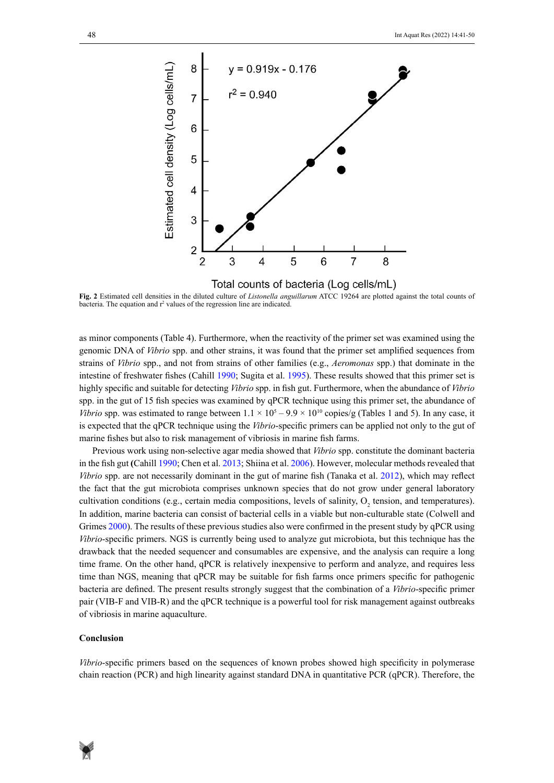

bacteria. The equation and r<sup>2</sup> values of the regression line are indicated. **Fig. 2** Estimated cell densities in the diluted culture of *Listonella anguillarum* ATCC 19264 are plotted against the total counts of

as minor components (Table 4). Furthermore, when the reactivity of the primer set was examined using the genomic DNA of *Vibrio* spp. and other strains, it was found that the primer set amplified sequences from strains of *Vibrio* spp., and not from strains of other families (e.g., *Aeromonas* spp.) that dominate in the intestine of freshwater fishes (Cahill 1990; Sugita et al. 1995). These results showed that this primer set is highly specific and suitable for detecting *Vibrio* spp. in fish gut. Furthermore, when the abundance of *Vibrio* spp. in the gut of 15 fish species was examined by qPCR technique using this primer set, the abundance of *Vibrio* spp. was estimated to range between  $1.1 \times 10^5 - 9.9 \times 10^{10}$  copies/g (Tables 1 and 5). In any case, it is expected that the qPCR technique using the *Vibrio*-specific primers can be applied not only to the gut of marine fishes but also to risk management of vibriosis in marine fish farms.

Previous work using non-selective agar media showed that *Vibrio* spp. constitute the dominant bacteria in the fish gut **(**Cahill 1990; Chen et al. 2013; Shiina et al. 2006). However, molecular methods revealed that *Vibrio* spp. are not necessarily dominant in the gut of marine fish (Tanaka et al. 2012), which may reflect the fact that the gut microbiota comprises unknown species that do not grow under general laboratory cultivation conditions (e.g., certain media compositions, levels of salinity,  $O_2$  tension, and temperatures). In addition, marine bacteria can consist of bacterial cells in a viable but non-culturable state (Colwell and Grimes 2000). The results of these previous studies also were confirmed in the present study by qPCR using *Vibrio*-specific primers. NGS is currently being used to analyze gut microbiota, but this technique has the drawback that the needed sequencer and consumables are expensive, and the analysis can require a long time frame. On the other hand, qPCR is relatively inexpensive to perform and analyze, and requires less time than NGS, meaning that qPCR may be suitable for fish farms once primers specific for pathogenic bacteria are defined. The present results strongly suggest that the combination of a *Vibrio*-specific primer pair (VIB-F and VIB-R) and the qPCR technique is a powerful tool for risk management against outbreaks of vibriosis in marine aquaculture.

#### **Conclusion**

*Vibrio*-specific primers based on the sequences of known probes showed high specificity in polymerase chain reaction (PCR) and high linearity against standard DNA in quantitative PCR (qPCR). Therefore, the

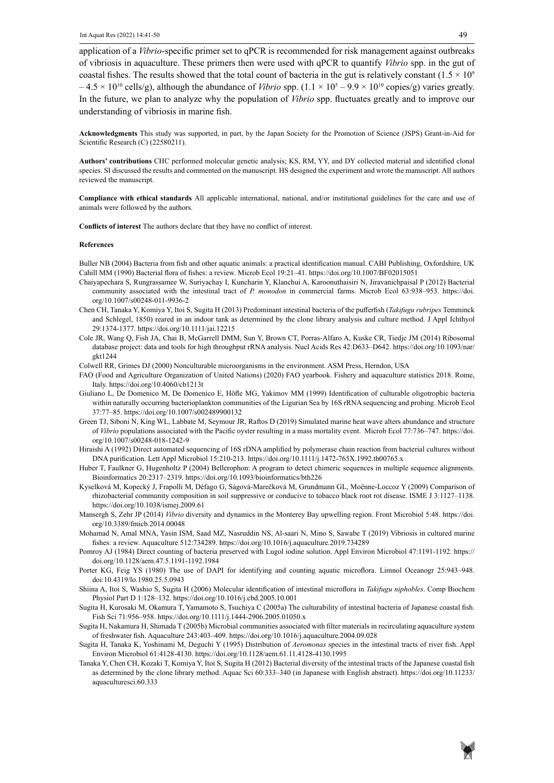application of a *Vibrio*-specific primer set to qPCR is recommended for risk management against outbreaks of vibriosis in aquaculture. These primers then were used with qPCR to quantify *Vibrio* spp. in the gut of coastal fishes. The results showed that the total count of bacteria in the gut is relatively constant  $(1.5 \times 10^9)$  $-4.5 \times 10^{10}$  cells/g), although the abundance of *Vibrio* spp.  $(1.1 \times 10^5 - 9.9 \times 10^{10}$  copies/g) varies greatly. In the future, we plan to analyze why the population of *Vibrio* spp. fluctuates greatly and to improve our understanding of vibriosis in marine fish.

**Acknowledgments** This study was supported, in part, by the Japan Society for the Promotion of Science (JSPS) Grant-in-Aid for Scientific Research (C) (22580211).

**Authors' contributions** CHC performed molecular genetic analysis; KS, RM, YY, and DY collected material and identified clonal species. SI discussed the results and commented on the manuscript. HS designed the experiment and wrote the manuscript. All authors reviewed the manuscript.

**Compliance with ethical standards** All applicable international, national, and/or institutional guidelines for the care and use of animals were followed by the authors.

**Conflicts of interest** The authors declare that they have no conflict of interest.

#### **References**

Buller NB (2004) Bacteria from fish and other aquatic animals: a practical identification manual. CABI Publishing, Oxfordshire, UK Cahill MM (1990) Bacterial flora of fishes: a review. Microb Ecol 19:21–41. https://doi.org/10.1007/BF02015051

- Chaiyapechara S, Rungrassamee W, Suriyachay I, Kuncharin Y, Klanchui A, Karoonuthaisiri N, Jiravanichpaisal P (2012) Bacterial community associated with the intestinal tract of *P. monodon* in commercial farms. Microb Ecol 63:938–953. https://doi. org/10.1007/s00248-011-9936-2
- Chen CH, Tanaka Y, Komiya Y, Itoi S, Sugita H (2013) Predominant intestinal bacteria of the pufferfish (*Takifugu rubripes* Temminck and Schlegel, 1850) reared in an indoor tank as determined by the clone library analysis and culture method. J Appl Ichthyol 29:1374-1377. https://doi.org/10.1111/jai.12215
- Cole JR, Wang Q, Fish JA, Chai B, McGarrell DMM, Sun Y, Brown CT, Porras-Alfaro A, Kuske CR, Tiedje JM (2014) Ribosomal database project: data and tools for high throughput rRNA analysis. Nucl Acids Res 42:D633–D642. https://doi.org/10.1093/nar/ gkt1244
- Colwell RR, Grimes DJ (2000) Nonculturable microorganisms in the environment. ASM Press, Herndon, USA
- FAO (Food and Agriculture Organization of United Nations) (2020) FAO yearbook. Fishery and aquaculture statistics 2018. Rome, Italy. https://doi.org/10.4060/cb1213t
- Giuliano L, De Domenico M, De Domenico E, Höfle MG, Yakimov MM (1999) Identification of culturable oligotrophic bacteria within naturally occurring bacterioplankton communities of the Ligurian Sea by 16S rRNA sequencing and probing. Microb Ecol 37:77–85. https://doi.org/10.1007/s002489900132
- Green TJ, Siboni N, King WL, Labbate M, Seymour JR, Raftos D (2019) Simulated marine heat wave alters abundance and structure of *Vibrio* populations associated with the Pacific oyster resulting in a mass mortality event. Microb Ecol 77:736–747. https://doi. org/10.1007/s00248-018-1242-9
- Hiraishi A (1992) Direct automated sequencing of 16S rDNA amplified by polymerase chain reaction from bacterial cultures without DNA purification. Lett Appl Microbiol 15:210-213. https://doi.org/10.1111/j.1472-765X.1992.tb00765.x
- Huber T, Faulkner G, Hugenholtz P (2004) Bellerophon: A program to detect chimeric sequences in multiple sequence alignments. Bioinformatics 20:2317–2319. https://doi.org/10.1093/bioinformatics/bth226
- Kyselková M, Kopecký J, Frapolli M, Défago G, Ságová-Marečková M, Grundmann GL, Moënne-Loccoz Y (2009) Comparison of rhizobacterial community composition in soil suppressive or conducive to tobacco black root rot disease. ISME J 3:1127–1138. https://doi.org/10.1038/ismej.2009.61
- [Mansergh](https://pubmed.ncbi.nlm.nih.gov/?term=Mansergh+S&cauthor_id=24575086) S, Zehr JP (2014) *Vibrio* diversity and dynamics in the Monterey Bay upwelling region. Front Microbiol 5:48. https://doi. org/10.3389/fmicb.2014.00048
- Mohamad N, Amal MNA, Yasin ISM, Saad MZ, Nasruddin NS, Al-saari N, Mino S, Sawabe T (2019) Vibriosis in cultured marine fishes: a review. Aquaculture 512:734289. https://doi.org/10.1016/j.aquaculture.2019.734289
- Pomroy AJ (1984) Direct counting of bacteria preserved with Lugol iodine solution. Appl Environ Microbiol 47:1191-1192. https:// doi.org/10.1128/aem.47.5.1191-1192.1984
- Porter KG, Feig YS (1980) The use of DAPI for identifying and counting aquatic microflora. Limnol Oceanogr 25:943–948. doi:10.4319/lo.1980.25.5.0943
- Shiina A, Itoi S, Washio S, Sugita H (2006) Molecular identification of intestinal microflora in *Takifugu niphobles*. Comp Biochem Physiol Part D 1:128–132. https://doi.org/10.1016/j.cbd.2005.10.001
- Sugita H, Kurosaki M, Okamura T, Yamamoto S, Tsuchiya C (2005a) The culturability of intestinal bacteria of Japanese coastal fish. Fish Sci 71:956–958. https://doi.org/10.1111/j.1444-2906.2005.01050.x
- Sugita H, Nakamura H, Shimada T (2005b) Microbial communities associated with filter materials in recirculating aquaculture system of freshwater fish. Aquaculture 243:403–409. https://doi.org/10.1016/j.aquaculture.2004.09.028
- Sugita H, Tanaka K, Yoshinami M, Deguchi Y (1995) Distribution of *Aeromonas* species in the intestinal tracts of river fish. Appl Environ Microbiol 61:4128-4130. https://doi.org/10.1128/aem.61.11.4128-4130.1995
- Tanaka Y, Chen CH, Kozaki T, Komiya Y, Itoi S, Sugita H (2012) Bacterial diversity of the intestinal tracts of the Japanese coastal fish as determined by the clone library method. Aquac Sci 60:333–340 (in Japanese with English abstract). https://doi.org/10.11233/ aquaculturesci.60.333